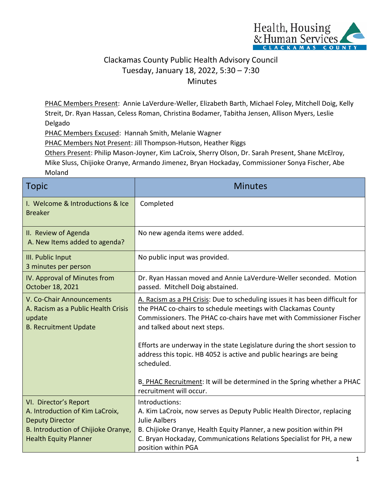

## Clackamas County Public Health Advisory Council Tuesday, January 18, 2022, 5:30 – 7:30 Minutes

PHAC Members Present: Annie LaVerdure-Weller, Elizabeth Barth, Michael Foley, Mitchell Doig, Kelly Streit, Dr. Ryan Hassan, Celess Roman, Christina Bodamer, Tabitha Jensen, Allison Myers, Leslie Delgado

PHAC Members Excused: Hannah Smith, Melanie Wagner

PHAC Members Not Present: Jill Thompson-Hutson, Heather Riggs

Others Present: Philip Mason-Joyner, Kim LaCroix, Sherry Olson, Dr. Sarah Present, Shane McElroy, Mike Sluss, Chijioke Oranye, Armando Jimenez, Bryan Hockaday, Commissioner Sonya Fischer, Abe Moland

| <b>Topic</b>                                                                                                                                              | <b>Minutes</b>                                                                                                                                                                                                                                                  |
|-----------------------------------------------------------------------------------------------------------------------------------------------------------|-----------------------------------------------------------------------------------------------------------------------------------------------------------------------------------------------------------------------------------------------------------------|
| I. Welcome & Introductions & Ice<br><b>Breaker</b>                                                                                                        | Completed                                                                                                                                                                                                                                                       |
| II. Review of Agenda<br>A. New Items added to agenda?                                                                                                     | No new agenda items were added.                                                                                                                                                                                                                                 |
| III. Public Input<br>3 minutes per person                                                                                                                 | No public input was provided.                                                                                                                                                                                                                                   |
| IV. Approval of Minutes from<br>October 18, 2021                                                                                                          | Dr. Ryan Hassan moved and Annie LaVerdure-Weller seconded. Motion<br>passed. Mitchell Doig abstained.                                                                                                                                                           |
| V. Co-Chair Announcements<br>A. Racism as a Public Health Crisis<br>update<br><b>B. Recruitment Update</b>                                                | A. Racism as a PH Crisis: Due to scheduling issues it has been difficult for<br>the PHAC co-chairs to schedule meetings with Clackamas County<br>Commissioners. The PHAC co-chairs have met with Commissioner Fischer<br>and talked about next steps.           |
|                                                                                                                                                           | Efforts are underway in the state Legislature during the short session to<br>address this topic. HB 4052 is active and public hearings are being<br>scheduled.                                                                                                  |
|                                                                                                                                                           | B. PHAC Recruitment: It will be determined in the Spring whether a PHAC<br>recruitment will occur.                                                                                                                                                              |
| VI. Director's Report<br>A. Introduction of Kim LaCroix,<br><b>Deputy Director</b><br>B. Introduction of Chijioke Oranye,<br><b>Health Equity Planner</b> | Introductions:<br>A. Kim LaCroix, now serves as Deputy Public Health Director, replacing<br><b>Julie Aalbers</b><br>B. Chijioke Oranye, Health Equity Planner, a new position within PH<br>C. Bryan Hockaday, Communications Relations Specialist for PH, a new |
|                                                                                                                                                           | position within PGA                                                                                                                                                                                                                                             |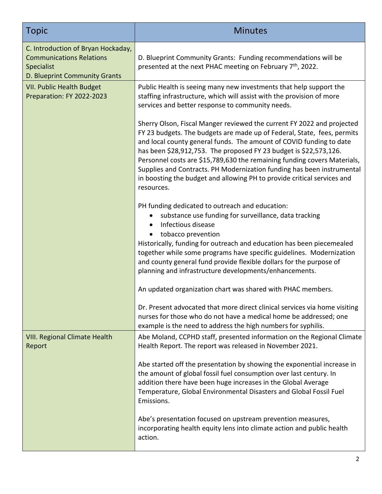| <b>Topic</b>                                                                                                         | <b>Minutes</b>                                                                                                                                                                                                                                                                                                                                                                                                                                                                                                                               |
|----------------------------------------------------------------------------------------------------------------------|----------------------------------------------------------------------------------------------------------------------------------------------------------------------------------------------------------------------------------------------------------------------------------------------------------------------------------------------------------------------------------------------------------------------------------------------------------------------------------------------------------------------------------------------|
| C. Introduction of Bryan Hockaday,<br><b>Communications Relations</b><br>Specialist<br>D. Blueprint Community Grants | D. Blueprint Community Grants: Funding recommendations will be<br>presented at the next PHAC meeting on February 7 <sup>th</sup> , 2022.                                                                                                                                                                                                                                                                                                                                                                                                     |
| <b>VII. Public Health Budget</b><br>Preparation: FY 2022-2023                                                        | Public Health is seeing many new investments that help support the<br>staffing infrastructure, which will assist with the provision of more<br>services and better response to community needs.                                                                                                                                                                                                                                                                                                                                              |
|                                                                                                                      | Sherry Olson, Fiscal Manger reviewed the current FY 2022 and projected<br>FY 23 budgets. The budgets are made up of Federal, State, fees, permits<br>and local county general funds. The amount of COVID funding to date<br>has been \$28,912,753. The proposed FY 23 budget is \$22,573,126.<br>Personnel costs are \$15,789,630 the remaining funding covers Materials,<br>Supplies and Contracts. PH Modernization funding has been instrumental<br>in boosting the budget and allowing PH to provide critical services and<br>resources. |
|                                                                                                                      | PH funding dedicated to outreach and education:<br>substance use funding for surveillance, data tracking<br>$\bullet$<br>Infectious disease<br>tobacco prevention                                                                                                                                                                                                                                                                                                                                                                            |
|                                                                                                                      | Historically, funding for outreach and education has been piecemealed<br>together while some programs have specific guidelines. Modernization<br>and county general fund provide flexible dollars for the purpose of<br>planning and infrastructure developments/enhancements.                                                                                                                                                                                                                                                               |
|                                                                                                                      | An updated organization chart was shared with PHAC members.                                                                                                                                                                                                                                                                                                                                                                                                                                                                                  |
|                                                                                                                      | Dr. Present advocated that more direct clinical services via home visiting<br>nurses for those who do not have a medical home be addressed; one<br>example is the need to address the high numbers for syphilis.                                                                                                                                                                                                                                                                                                                             |
| <b>VIII. Regional Climate Health</b><br>Report                                                                       | Abe Moland, CCPHD staff, presented information on the Regional Climate<br>Health Report. The report was released in November 2021.                                                                                                                                                                                                                                                                                                                                                                                                           |
|                                                                                                                      | Abe started off the presentation by showing the exponential increase in<br>the amount of global fossil fuel consumption over last century. In<br>addition there have been huge increases in the Global Average<br>Temperature, Global Environmental Disasters and Global Fossil Fuel<br>Emissions.                                                                                                                                                                                                                                           |
|                                                                                                                      | Abe's presentation focused on upstream prevention measures,<br>incorporating health equity lens into climate action and public health<br>action.                                                                                                                                                                                                                                                                                                                                                                                             |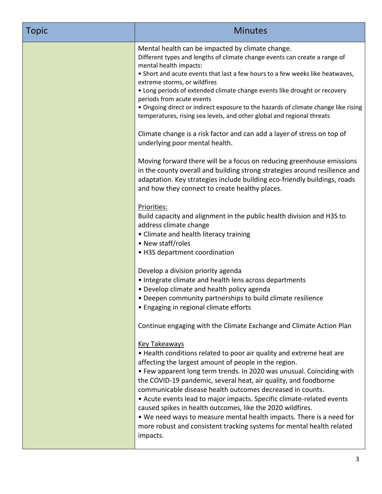| Topic | <b>Minutes</b>                                                                                                                                                                                                                                                                                                                                                                                                                                                                                                                                                                                                                                                                                                                                                                                                                                                                                                                                                                                                                                                                                                                                                                                                                                                                                                                                                                                                                                                                                                                                                                                                                                                                                                                                                                                                                                                                                                                                                                                                                                                                                                                                                               |
|-------|------------------------------------------------------------------------------------------------------------------------------------------------------------------------------------------------------------------------------------------------------------------------------------------------------------------------------------------------------------------------------------------------------------------------------------------------------------------------------------------------------------------------------------------------------------------------------------------------------------------------------------------------------------------------------------------------------------------------------------------------------------------------------------------------------------------------------------------------------------------------------------------------------------------------------------------------------------------------------------------------------------------------------------------------------------------------------------------------------------------------------------------------------------------------------------------------------------------------------------------------------------------------------------------------------------------------------------------------------------------------------------------------------------------------------------------------------------------------------------------------------------------------------------------------------------------------------------------------------------------------------------------------------------------------------------------------------------------------------------------------------------------------------------------------------------------------------------------------------------------------------------------------------------------------------------------------------------------------------------------------------------------------------------------------------------------------------------------------------------------------------------------------------------------------------|
|       | Mental health can be impacted by climate change.<br>Different types and lengths of climate change events can create a range of<br>mental health impacts:<br>• Short and acute events that last a few hours to a few weeks like heatwaves,<br>extreme storms, or wildfires<br>• Long periods of extended climate change events like drought or recovery<br>periods from acute events<br>• Ongoing direct or indirect exposure to the hazards of climate change like rising<br>temperatures, rising sea levels, and other global and regional threats<br>Climate change is a risk factor and can add a layer of stress on top of<br>underlying poor mental health.<br>Moving forward there will be a focus on reducing greenhouse emissions<br>in the county overall and building strong strategies around resilience and<br>adaptation. Key strategies include building eco-friendly buildings, roads<br>and how they connect to create healthy places.<br>Priorities:<br>Build capacity and alignment in the public health division and H3S to<br>address climate change<br>• Climate and health literacy training<br>• New staff/roles<br>• H3S department coordination<br>Develop a division priority agenda<br>• Integrate climate and health lens across departments<br>• Develop climate and health policy agenda<br>• Deepen community partnerships to build climate resilience<br>• Engaging in regional climate efforts<br>Continue engaging with the Climate Exchange and Climate Action Plan<br><b>Key Takeaways</b><br>• Health conditions related to poor air quality and extreme heat are<br>affecting the largest amount of people in the region.<br>• Few apparent long term trends. In 2020 was unusual. Coinciding with<br>the COVID-19 pandemic, several heat, air quality, and foodborne<br>communicable disease health outcomes decreased in counts.<br>• Acute events lead to major impacts. Specific climate-related events<br>caused spikes in health outcomes, like the 2020 wildfires.<br>. We need ways to measure mental health impacts. There is a need for<br>more robust and consistent tracking systems for mental health related<br>impacts. |
|       |                                                                                                                                                                                                                                                                                                                                                                                                                                                                                                                                                                                                                                                                                                                                                                                                                                                                                                                                                                                                                                                                                                                                                                                                                                                                                                                                                                                                                                                                                                                                                                                                                                                                                                                                                                                                                                                                                                                                                                                                                                                                                                                                                                              |